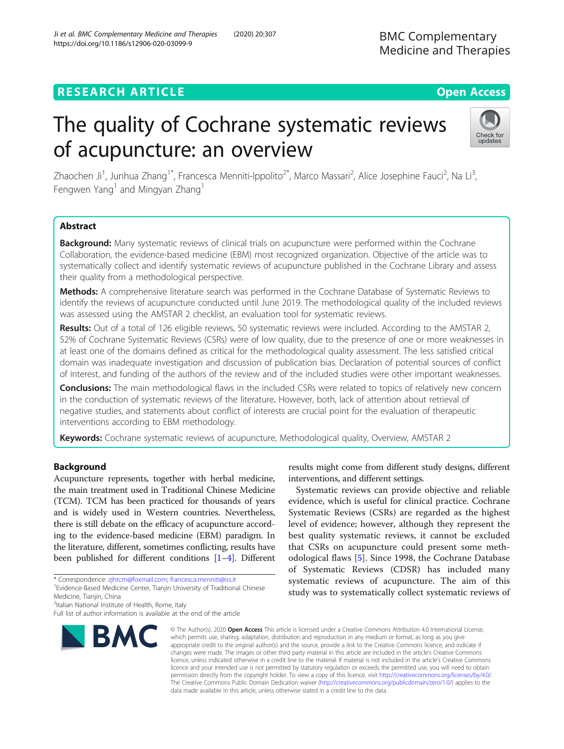# The quality of Cochrane systematic reviews of acupuncture: an overview

Zhaochen Ji<sup>1</sup>, Junhua Zhang<sup>1\*</sup>, Francesca Menniti-Ippolito<sup>2\*</sup>, Marco Massari<sup>2</sup>, Alice Josephine Fauci<sup>2</sup>, Na Li<sup>3</sup> , Fengwen Yang<sup>1</sup> and Mingyan Zhang<sup>1</sup>

# Abstract

Background: Many systematic reviews of clinical trials on acupuncture were performed within the Cochrane Collaboration, the evidence-based medicine (EBM) most recognized organization. Objective of the article was to systematically collect and identify systematic reviews of acupuncture published in the Cochrane Library and assess their quality from a methodological perspective.

Methods: A comprehensive literature search was performed in the Cochrane Database of Systematic Reviews to identify the reviews of acupuncture conducted until June 2019. The methodological quality of the included reviews was assessed using the AMSTAR 2 checklist, an evaluation tool for systematic reviews.

Results: Out of a total of 126 eligible reviews, 50 systematic reviews were included. According to the AMSTAR 2, 52% of Cochrane Systematic Reviews (CSRs) were of low quality, due to the presence of one or more weaknesses in at least one of the domains defined as critical for the methodological quality assessment. The less satisfied critical domain was inadequate investigation and discussion of publication bias. Declaration of potential sources of conflict of interest, and funding of the authors of the review and of the included studies were other important weaknesses.

Conclusions: The main methodological flaws in the included CSRs were related to topics of relatively new concern in the conduction of systematic reviews of the literature. However, both, lack of attention about retrieval of negative studies, and statements about conflict of interests are crucial point for the evaluation of therapeutic interventions according to EBM methodology.

Keywords: Cochrane systematic reviews of acupuncture, Methodological quality, Overview, AMSTAR 2

# Background

Acupuncture represents, together with herbal medicine, the main treatment used in Traditional Chinese Medicine (TCM). TCM has been practiced for thousands of years and is widely used in Western countries. Nevertheless, there is still debate on the efficacy of acupuncture according to the evidence-based medicine (EBM) paradigm. In the literature, different, sometimes conflicting, results have been published for different conditions [\[1](#page-6-0)–[4\]](#page-6-0). Different

\* Correspondence: [zjhtcm@foxmail.com](mailto:zjhtcm@foxmail.com); [francesca.menniti@iss.it](mailto:francesca.menniti@iss.it) <sup>1</sup>

Medicine, Tianjin, China

<sup>2</sup>Italian National Institute of Health, Rome, Italy

Full list of author information is available at the end of the article

© The Author(s), 2020 **Open Access** This article is licensed under a Creative Commons Attribution 4.0 International License, BMC which permits use, sharing, adaptation, distribution and reproduction in any medium or format, as long as you give appropriate credit to the original author(s) and the source, provide a link to the Creative Commons licence, and indicate if changes were made. The images or other third party material in this article are included in the article's Creative Commons licence, unless indicated otherwise in a credit line to the material. If material is not included in the article's Creative Commons licence and your intended use is not permitted by statutory regulation or exceeds the permitted use, you will need to obtain

permission directly from the copyright holder. To view a copy of this licence, visit [http://creativecommons.org/licenses/by/4.0/.](http://creativecommons.org/licenses/by/4.0/) The Creative Commons Public Domain Dedication waiver [\(http://creativecommons.org/publicdomain/zero/1.0/](http://creativecommons.org/publicdomain/zero/1.0/)) applies to the data made available in this article, unless otherwise stated in a credit line to the data.

results might come from different study designs, different interventions, and different settings.

Systematic reviews can provide objective and reliable evidence, which is useful for clinical practice. Cochrane

Systematic Reviews (CSRs) are regarded as the highest

level of evidence; however, although they represent the best quality systematic reviews, it cannot be excluded that CSRs on acupuncture could present some methodological flaws [[5\]](#page-6-0). Since 1998, the Cochrane Database of Systematic Reviews (CDSR) has included many systematic reviews of acupuncture. The aim of this study was to systematically collect systematic reviews of

# Ji et al. BMC Complementary Medicine and Therapies (2020) 20:307 https://doi.org/10.1186/s12906-020-03099-9

BMC Complementary Medicine and Therapies



<sup>&</sup>lt;sup>1</sup> Evidence-Based Medicine Center, Tianjin University of Traditional Chinese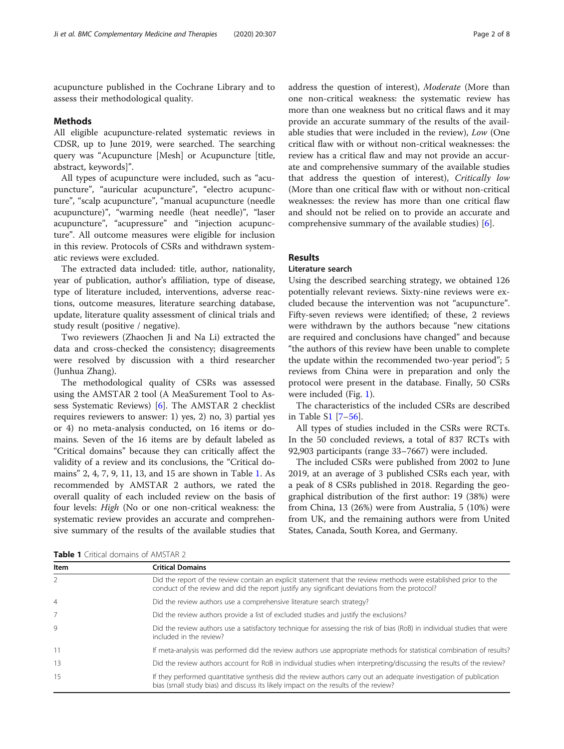acupuncture published in the Cochrane Library and to assess their methodological quality.

#### Methods

All eligible acupuncture-related systematic reviews in CDSR, up to June 2019, were searched. The searching query was "Acupuncture [Mesh] or Acupuncture [title, abstract, keywords]".

All types of acupuncture were included, such as "acupuncture", "auricular acupuncture", "electro acupuncture", "scalp acupuncture", "manual acupuncture (needle acupuncture)", "warming needle (heat needle)", "laser acupuncture", "acupressure" and "injection acupuncture". All outcome measures were eligible for inclusion in this review. Protocols of CSRs and withdrawn systematic reviews were excluded.

The extracted data included: title, author, nationality, year of publication, author's affiliation, type of disease, type of literature included, interventions, adverse reactions, outcome measures, literature searching database, update, literature quality assessment of clinical trials and study result (positive / negative).

Two reviewers (Zhaochen Ji and Na Li) extracted the data and cross-checked the consistency; disagreements were resolved by discussion with a third researcher (Junhua Zhang).

The methodological quality of CSRs was assessed using the AMSTAR 2 tool (A MeaSurement Tool to Assess Systematic Reviews) [[6\]](#page-6-0). The AMSTAR 2 checklist requires reviewers to answer: 1) yes, 2) no, 3) partial yes or 4) no meta-analysis conducted, on 16 items or domains. Seven of the 16 items are by default labeled as "Critical domains" because they can critically affect the validity of a review and its conclusions, the "Critical domains" 2, 4, 7, 9, 11, 13, and 15 are shown in Table 1. As recommended by AMSTAR 2 authors, we rated the overall quality of each included review on the basis of four levels: High (No or one non-critical weakness: the systematic review provides an accurate and comprehensive summary of the results of the available studies that

address the question of interest), Moderate (More than one non-critical weakness: the systematic review has more than one weakness but no critical flaws and it may provide an accurate summary of the results of the available studies that were included in the review), Low (One critical flaw with or without non-critical weaknesses: the review has a critical flaw and may not provide an accurate and comprehensive summary of the available studies that address the question of interest), Critically low (More than one critical flaw with or without non-critical weaknesses: the review has more than one critical flaw and should not be relied on to provide an accurate and comprehensive summary of the available studies) [[6\]](#page-6-0).

# Results

### Literature search

Using the described searching strategy, we obtained 126 potentially relevant reviews. Sixty-nine reviews were excluded because the intervention was not "acupuncture". Fifty-seven reviews were identified; of these, 2 reviews were withdrawn by the authors because "new citations are required and conclusions have changed" and because "the authors of this review have been unable to complete the update within the recommended two-year period"; 5 reviews from China were in preparation and only the protocol were present in the database. Finally, 50 CSRs were included (Fig. [1\)](#page-2-0).

The characteristics of the included CSRs are described in Table S[1](#page-6-0) [[7](#page-6-0)–[56](#page-7-0)].

All types of studies included in the CSRs were RCTs. In the 50 concluded reviews, a total of 837 RCTs with 92,903 participants (range 33–7667) were included.

The included CSRs were published from 2002 to June 2019, at an average of 3 published CSRs each year, with a peak of 8 CSRs published in 2018. Regarding the geographical distribution of the first author: 19 (38%) were from China, 13 (26%) were from Australia, 5 (10%) were from UK, and the remaining authors were from United States, Canada, South Korea, and Germany.

| <b>Table 1</b> Critical domains of AMSTAR 2 |  |  |
|---------------------------------------------|--|--|
|---------------------------------------------|--|--|

Item Critical Domains 2 Did the report of the review contain an explicit statement that the review methods were established prior to the conduct of the review and did the report justify any significant deviations from the protocol? 4 Did the review authors use a comprehensive literature search strategy? 7 Did the review authors provide a list of excluded studies and justify the exclusions? 9 Did the review authors use a satisfactory technique for assessing the risk of bias (RoB) in individual studies that were included in the review? 11 If meta-analysis was performed did the review authors use appropriate methods for statistical combination of results? 13 Did the review authors account for RoB in individual studies when interpreting/discussing the results of the review? 15 If they performed quantitative synthesis did the review authors carry out an adequate investigation of publication bias (small study bias) and discuss its likely impact on the results of the review?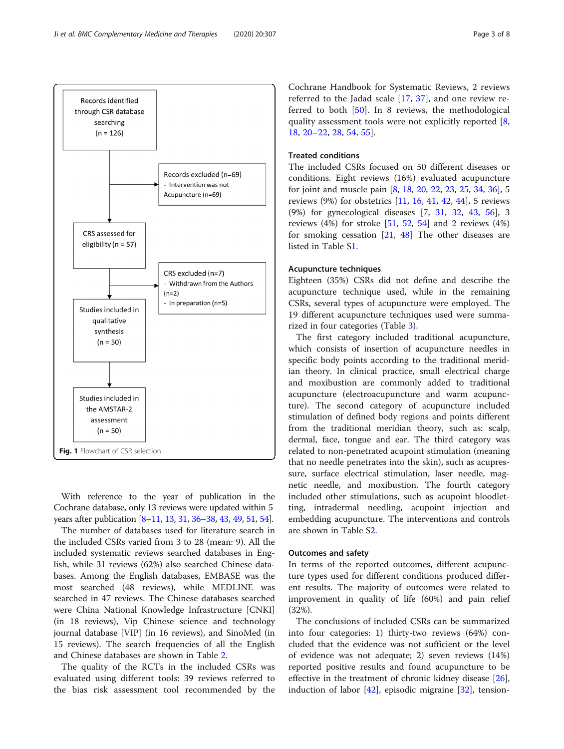<span id="page-2-0"></span>

With reference to the year of publication in the Cochrane database, only 13 reviews were updated within 5 years after publication [\[8](#page-6-0)–[11,](#page-6-0) [13,](#page-6-0) [31,](#page-7-0) [36](#page-7-0)–[38](#page-7-0), [43](#page-7-0), [49,](#page-7-0) [51,](#page-7-0) [54\]](#page-7-0).

The number of databases used for literature search in the included CSRs varied from 3 to 28 (mean: 9). All the included systematic reviews searched databases in English, while 31 reviews (62%) also searched Chinese databases. Among the English databases, EMBASE was the most searched (48 reviews), while MEDLINE was searched in 47 reviews. The Chinese databases searched were China National Knowledge Infrastructure [CNKI] (in 18 reviews), Vip Chinese science and technology journal database [VIP] (in 16 reviews), and SinoMed (in 15 reviews). The search frequencies of all the English and Chinese databases are shown in Table [2](#page-3-0).

The quality of the RCTs in the included CSRs was evaluated using different tools: 39 reviews referred to the bias risk assessment tool recommended by the

Cochrane Handbook for Systematic Reviews, 2 reviews referred to the Jadad scale [\[17](#page-6-0), [37](#page-7-0)], and one review referred to both [[50\]](#page-7-0). In 8 reviews, the methodological quality assessment tools were not explicitly reported [\[8](#page-6-0), [18,](#page-7-0) [20](#page-7-0)–[22,](#page-7-0) [28](#page-7-0), [54](#page-7-0), [55](#page-7-0)].

# Treated conditions

The included CSRs focused on 50 different diseases or conditions. Eight reviews (16%) evaluated acupuncture for joint and muscle pain [[8,](#page-6-0) [18,](#page-7-0) [20,](#page-7-0) [22](#page-7-0), [23](#page-7-0), [25](#page-7-0), [34](#page-7-0), [36](#page-7-0)], 5 reviews (9%) for obstetrics [\[11](#page-6-0), [16,](#page-6-0) [41,](#page-7-0) [42](#page-7-0), [44](#page-7-0)], 5 reviews (9%) for gynecological diseases [\[7](#page-6-0), [31,](#page-7-0) [32](#page-7-0), [43](#page-7-0), [56\]](#page-7-0), 3 reviews (4%) for stroke [\[51,](#page-7-0) [52,](#page-7-0) [54\]](#page-7-0) and 2 reviews (4%) for smoking cessation [\[21,](#page-7-0) [48\]](#page-7-0) The other diseases are listed in Table [S1](#page-6-0).

#### Acupuncture techniques

Eighteen (35%) CSRs did not define and describe the acupuncture technique used, while in the remaining CSRs, several types of acupuncture were employed. The 19 different acupuncture techniques used were summarized in four categories (Table [3](#page-4-0)).

The first category included traditional acupuncture, which consists of insertion of acupuncture needles in specific body points according to the traditional meridian theory. In clinical practice, small electrical charge and moxibustion are commonly added to traditional acupuncture (electroacupuncture and warm acupuncture). The second category of acupuncture included stimulation of defined body regions and points different from the traditional meridian theory, such as: scalp, dermal, face, tongue and ear. The third category was related to non-penetrated acupoint stimulation (meaning that no needle penetrates into the skin), such as acupressure, surface electrical stimulation, laser needle, magnetic needle, and moxibustion. The fourth category included other stimulations, such as acupoint bloodletting, intradermal needling, acupoint injection and embedding acupuncture. The interventions and controls are shown in Table [S2](#page-6-0).

#### Outcomes and safety

In terms of the reported outcomes, different acupuncture types used for different conditions produced different results. The majority of outcomes were related to improvement in quality of life (60%) and pain relief (32%).

The conclusions of included CSRs can be summarized into four categories: 1) thirty-two reviews (64%) concluded that the evidence was not sufficient or the level of evidence was not adequate; 2) seven reviews (14%) reported positive results and found acupuncture to be effective in the treatment of chronic kidney disease  $[26]$  $[26]$ , induction of labor [\[42](#page-7-0)], episodic migraine [\[32](#page-7-0)], tension-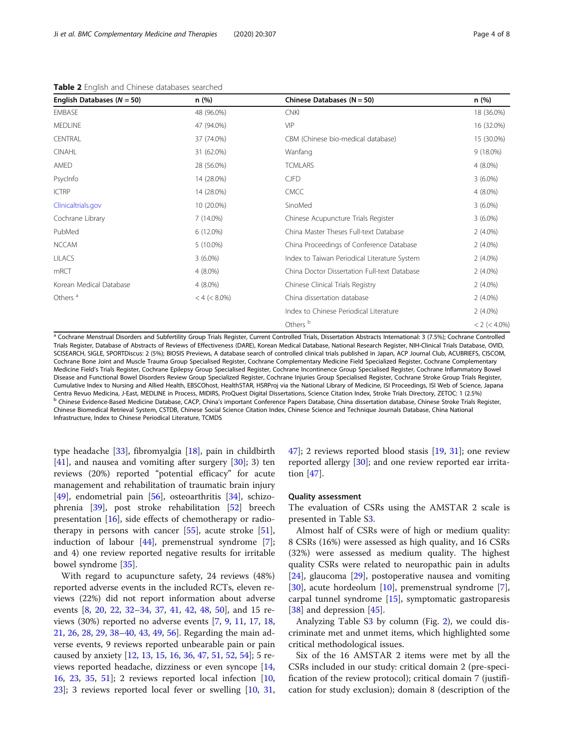| English Databases ( $N = 50$ ) | n(%)            | Chinese Databases ( $N = 50$ )               | n(%)                |
|--------------------------------|-----------------|----------------------------------------------|---------------------|
| <b>EMBASE</b>                  | 48 (96.0%)      | <b>CNKI</b>                                  | 18 (36.0%)          |
| <b>MEDLINE</b>                 | 47 (94.0%)      | <b>VIP</b>                                   | 16 (32.0%)          |
| <b>CENTRAL</b>                 | 37 (74.0%)      | CBM (Chinese bio-medical database)           | 15 (30.0%)          |
| <b>CINAHL</b>                  | 31 (62.0%)      | Wanfang                                      | $9(18.0\%)$         |
| AMED                           | 28 (56.0%)      | <b>TCMLARS</b>                               | $4(8.0\%)$          |
| PsycInfo                       | 14 (28.0%)      | <b>CJFD</b>                                  | $3(6.0\%)$          |
| <b>ICTRP</b>                   | 14 (28.0%)      | <b>CMCC</b>                                  | $4(8.0\%)$          |
| Clinicaltrials.gov             | 10 (20.0%)      | SinoMed                                      | $3(6.0\%)$          |
| Cochrane Library               | $7(14.0\%)$     | Chinese Acupuncture Trials Register          | $3(6.0\%)$          |
| PubMed                         | 6 (12.0%)       | China Master Theses Full-text Database       | $2(4.0\%)$          |
| <b>NCCAM</b>                   | $5(10.0\%)$     | China Proceedings of Conference Database     | $2(4.0\%)$          |
| <b>LILACS</b>                  | $3(6.0\%)$      | Index to Taiwan Periodical Literature System | $2(4.0\%)$          |
| mRCT                           | $4(8.0\%)$      | China Doctor Dissertation Full-text Database | $2(4.0\%)$          |
| Korean Medical Database        | $4(8.0\%)$      | Chinese Clinical Trials Registry             | $2(4.0\%)$          |
| Others <sup>a</sup>            | $< 4 (< 8.0\%)$ | China dissertation database                  | $2(4.0\%)$          |
|                                |                 | Index to Chinese Periodical Literature       | $2(4.0\%)$          |
|                                |                 | Others <sup>b</sup>                          | $< 2$ ( $< 4.0\%$ ) |

<span id="page-3-0"></span>Table 2 English and Chinese databases searched

a Cochrane Menstrual Disorders and Subfertility Group Trials Register, Current Controlled Trials, Dissertation Abstracts International: 3 (7.5%); Cochrane Controlled Trials Register, Database of Abstracts of Reviews of Effectiveness (DARE), Korean Medical Database, National Research Register, NIH-Clinical Trials Database, OVID, SCISEARCH, SIGLE, SPORTDiscus: 2 (5%); BIOSIS Previews, A database search of controlled clinical trials published in Japan, ACP Journal Club, ACUBRIEFS, CISCOM, Cochrane Bone Joint and Muscle Trauma Group Specialised Register, Cochrane Complementary Medicine Field Specialized Register, Cochrane Complementary Medicine Field's Trials Register, Cochrane Epilepsy Group Specialised Register, Cochrane Incontinence Group Specialised Register, Cochrane Inflammatory Bowel Disease and Functional Bowel Disorders Review Group Specialized Register, Cochrane Injuries Group Specialised Register, Cochrane Stroke Group Trials Register, Cumulative Index to Nursing and Allied Health, EBSCOhost, HealthSTAR, HSRProj via the National Library of Medicine, ISI Proceedings, ISI Web of Science, Japana Centra Revuo Medicina, J-East, MEDLINE in Process, MIDIRS, ProQuest Digital Dissertations, Science Citation Index, Stroke Trials Directory, ZETOC: 1 (2.5%) cantion distabase, Chinese Evidence-Based Medicine Database, Chine Chinese Biomedical Retrieval System, CSTDB, Chinese Social Science Citation Index, Chinese Science and Technique Journals Database, China National Infrastructure, Index to Chinese Periodical Literature, TCMDS

type headache [\[33](#page-7-0)], fibromyalgia [[18\]](#page-7-0), pain in childbirth  $[41]$  $[41]$ , and nausea and vomiting after surgery  $[30]$  $[30]$ ; 3) ten reviews (20%) reported "potential efficacy" for acute management and rehabilitation of traumatic brain injury [[49\]](#page-7-0), endometrial pain [[56](#page-7-0)], osteoarthritis [[34](#page-7-0)], schizophrenia [\[39](#page-7-0)], post stroke rehabilitation [[52\]](#page-7-0) breech presentation [[16\]](#page-6-0), side effects of chemotherapy or radiotherapy in persons with cancer  $[55]$  $[55]$ , acute stroke  $[51]$  $[51]$ , induction of labour [\[44](#page-7-0)], premenstrual syndrome [\[7](#page-6-0)]; and 4) one review reported negative results for irritable bowel syndrome [[35\]](#page-7-0).

With regard to acupuncture safety, 24 reviews (48%) reported adverse events in the included RCTs, eleven reviews (22%) did not report information about adverse events [\[8](#page-6-0), [20](#page-7-0), [22](#page-7-0), [32](#page-7-0)–[34,](#page-7-0) [37,](#page-7-0) [41](#page-7-0), [42](#page-7-0), [48](#page-7-0), [50](#page-7-0)], and 15 reviews (30%) reported no adverse events [[7,](#page-6-0) [9](#page-6-0), [11,](#page-6-0) [17](#page-6-0), [18](#page-7-0), [21,](#page-7-0) [26](#page-7-0), [28](#page-7-0), [29](#page-7-0), [38](#page-7-0)–[40,](#page-7-0) [43](#page-7-0), [49](#page-7-0), [56](#page-7-0)]. Regarding the main adverse events, 9 reviews reported unbearable pain or pain caused by anxiety [[12](#page-6-0), [13](#page-6-0), [15](#page-6-0), [16,](#page-6-0) [36,](#page-7-0) [47](#page-7-0), [51](#page-7-0), [52](#page-7-0), [54\]](#page-7-0); 5 reviews reported headache, dizziness or even syncope [[14](#page-6-0), [16,](#page-6-0) [23](#page-7-0), [35,](#page-7-0) [51\]](#page-7-0); 2 reviews reported local infection [[10](#page-6-0), [23\]](#page-7-0); 3 reviews reported local fever or swelling [\[10,](#page-6-0) [31](#page-7-0), [47\]](#page-7-0); 2 reviews reported blood stasis [\[19](#page-7-0), [31\]](#page-7-0); one review reported allergy [\[30\]](#page-7-0); and one review reported ear irritation [\[47\]](#page-7-0).

#### Quality assessment

The evaluation of CSRs using the AMSTAR 2 scale is presented in Table [S3](#page-6-0).

Almost half of CSRs were of high or medium quality: 8 CSRs (16%) were assessed as high quality, and 16 CSRs (32%) were assessed as medium quality. The highest quality CSRs were related to neuropathic pain in adults [[24\]](#page-7-0), glaucoma [\[29](#page-7-0)], postoperative nausea and vomiting [[30\]](#page-7-0), acute hordeolum [\[10](#page-6-0)], premenstrual syndrome [\[7](#page-6-0)], carpal tunnel syndrome [[15](#page-6-0)], symptomatic gastroparesis [[38\]](#page-7-0) and depression [\[45](#page-7-0)].

Analyzing Table [S3](#page-6-0) by column (Fig. [2\)](#page-5-0), we could discriminate met and unmet items, which highlighted some critical methodological issues.

Six of the 16 AMSTAR 2 items were met by all the CSRs included in our study: critical domain 2 (pre-specification of the review protocol); critical domain 7 (justification for study exclusion); domain 8 (description of the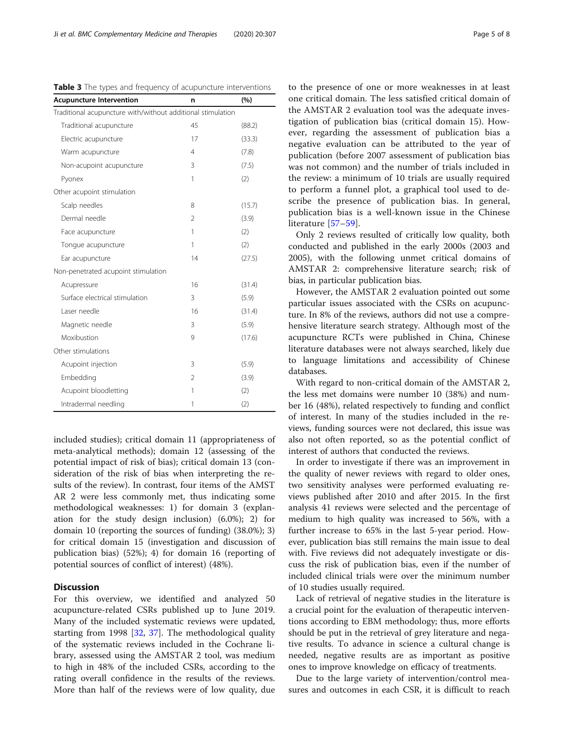| <b>Acupuncture Intervention</b>                             | n              | (%)    |
|-------------------------------------------------------------|----------------|--------|
| Traditional acupuncture with/without additional stimulation |                |        |
| Traditional acupuncture                                     | 45             | (88.2) |
| Electric acupuncture                                        | 17             | (33.3) |
| Warm acupuncture                                            | 4              | (7.8)  |
| Non-acupoint acupuncture                                    | 3              | (7.5)  |
| Pyonex                                                      | 1              | (2)    |
| Other acupoint stimulation                                  |                |        |
| Scalp needles                                               | 8              | (15.7) |
| Dermal needle                                               | 2              | (3.9)  |
| Face acupuncture                                            | 1              | (2)    |
| Tonque acupuncture                                          | 1              | (2)    |
| Ear acupuncture                                             | 14             | (27.5) |
| Non-penetrated acupoint stimulation                         |                |        |
| Acupressure                                                 | 16             | (31.4) |
| Surface electrical stimulation                              | 3              | (5.9)  |
| Laser needle                                                | 16             | (31.4) |
| Magnetic needle                                             | 3              | (5.9)  |
| Moxibustion                                                 | 9              | (17.6) |
| Other stimulations                                          |                |        |
| Acupoint injection                                          | 3              | (5.9)  |
| Embedding                                                   | $\mathfrak{D}$ | (3.9)  |
| Acupoint bloodletting                                       | 1              | (2)    |
| Intradermal needling                                        | 1              | (2)    |

<span id="page-4-0"></span>Table 3 The types and frequency of acupuncture interventions

included studies); critical domain 11 (appropriateness of meta-analytical methods); domain 12 (assessing of the potential impact of risk of bias); critical domain 13 (consideration of the risk of bias when interpreting the results of the review). In contrast, four items of the AMST AR 2 were less commonly met, thus indicating some methodological weaknesses: 1) for domain 3 (explanation for the study design inclusion) (6.0%); 2) for domain 10 (reporting the sources of funding) (38.0%); 3) for critical domain 15 (investigation and discussion of publication bias) (52%); 4) for domain 16 (reporting of potential sources of conflict of interest) (48%).

# **Discussion**

For this overview, we identified and analyzed 50 acupuncture-related CSRs published up to June 2019. Many of the included systematic reviews were updated, starting from 1998 [[32](#page-7-0), [37](#page-7-0)]. The methodological quality of the systematic reviews included in the Cochrane library, assessed using the AMSTAR 2 tool, was medium to high in 48% of the included CSRs, according to the rating overall confidence in the results of the reviews. More than half of the reviews were of low quality, due

to the presence of one or more weaknesses in at least one critical domain. The less satisfied critical domain of the AMSTAR 2 evaluation tool was the adequate investigation of publication bias (critical domain 15). However, regarding the assessment of publication bias a negative evaluation can be attributed to the year of publication (before 2007 assessment of publication bias was not common) and the number of trials included in the review: a minimum of 10 trials are usually required to perform a funnel plot, a graphical tool used to describe the presence of publication bias. In general, publication bias is a well-known issue in the Chinese literature [\[57](#page-7-0)–[59](#page-7-0)].

Only 2 reviews resulted of critically low quality, both conducted and published in the early 2000s (2003 and 2005), with the following unmet critical domains of AMSTAR 2: comprehensive literature search; risk of bias, in particular publication bias.

However, the AMSTAR 2 evaluation pointed out some particular issues associated with the CSRs on acupuncture. In 8% of the reviews, authors did not use a comprehensive literature search strategy. Although most of the acupuncture RCTs were published in China, Chinese literature databases were not always searched, likely due to language limitations and accessibility of Chinese databases.

With regard to non-critical domain of the AMSTAR 2, the less met domains were number 10 (38%) and number 16 (48%), related respectively to funding and conflict of interest. In many of the studies included in the reviews, funding sources were not declared, this issue was also not often reported, so as the potential conflict of interest of authors that conducted the reviews.

In order to investigate if there was an improvement in the quality of newer reviews with regard to older ones, two sensitivity analyses were performed evaluating reviews published after 2010 and after 2015. In the first analysis 41 reviews were selected and the percentage of medium to high quality was increased to 56%, with a further increase to 65% in the last 5-year period. However, publication bias still remains the main issue to deal with. Five reviews did not adequately investigate or discuss the risk of publication bias, even if the number of included clinical trials were over the minimum number of 10 studies usually required.

Lack of retrieval of negative studies in the literature is a crucial point for the evaluation of therapeutic interventions according to EBM methodology; thus, more efforts should be put in the retrieval of grey literature and negative results. To advance in science a cultural change is needed, negative results are as important as positive ones to improve knowledge on efficacy of treatments.

Due to the large variety of intervention/control measures and outcomes in each CSR, it is difficult to reach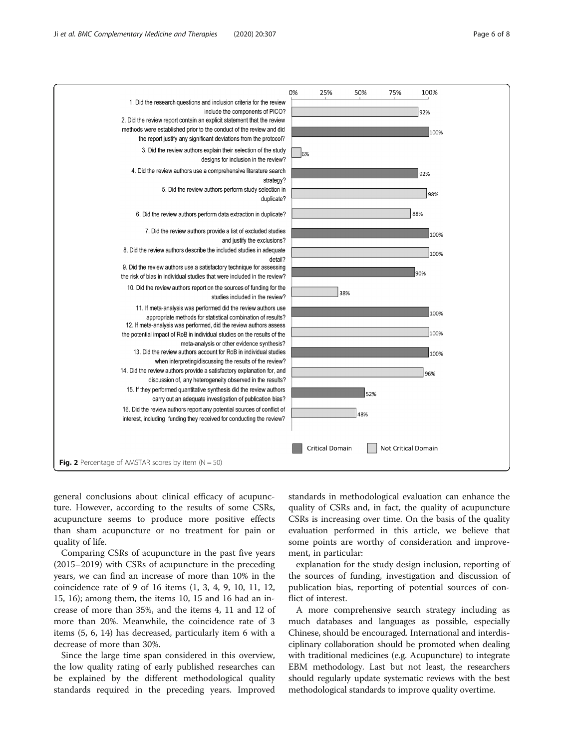<span id="page-5-0"></span>

general conclusions about clinical efficacy of acupuncture. However, according to the results of some CSRs, acupuncture seems to produce more positive effects than sham acupuncture or no treatment for pain or quality of life.

Comparing CSRs of acupuncture in the past five years (2015–2019) with CSRs of acupuncture in the preceding years, we can find an increase of more than 10% in the coincidence rate of 9 of 16 items (1, 3, 4, 9, 10, 11, 12, 15, 16); among them, the items 10, 15 and 16 had an increase of more than 35%, and the items 4, 11 and 12 of more than 20%. Meanwhile, the coincidence rate of 3 items (5, 6, 14) has decreased, particularly item 6 with a decrease of more than 30%.

Since the large time span considered in this overview, the low quality rating of early published researches can be explained by the different methodological quality standards required in the preceding years. Improved standards in methodological evaluation can enhance the quality of CSRs and, in fact, the quality of acupuncture CSRs is increasing over time. On the basis of the quality evaluation performed in this article, we believe that some points are worthy of consideration and improvement, in particular:

explanation for the study design inclusion, reporting of the sources of funding, investigation and discussion of publication bias, reporting of potential sources of conflict of interest.

A more comprehensive search strategy including as much databases and languages as possible, especially Chinese, should be encouraged. International and interdisciplinary collaboration should be promoted when dealing with traditional medicines (e.g. Acupuncture) to integrate EBM methodology. Last but not least, the researchers should regularly update systematic reviews with the best methodological standards to improve quality overtime.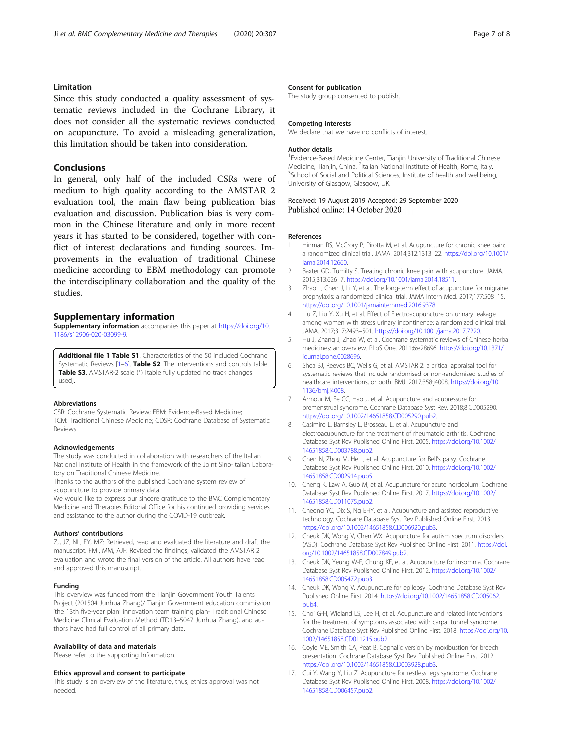# <span id="page-6-0"></span>Limitation

Since this study conducted a quality assessment of systematic reviews included in the Cochrane Library, it does not consider all the systematic reviews conducted on acupuncture. To avoid a misleading generalization, this limitation should be taken into consideration.

#### Conclusions

In general, only half of the included CSRs were of medium to high quality according to the AMSTAR 2 evaluation tool, the main flaw being publication bias evaluation and discussion. Publication bias is very common in the Chinese literature and only in more recent years it has started to be considered, together with conflict of interest declarations and funding sources. Improvements in the evaluation of traditional Chinese medicine according to EBM methodology can promote the interdisciplinary collaboration and the quality of the studies.

#### Supplementary information

Supplementary information accompanies this paper at [https://doi.org/10.](https://doi.org/10.1186/s12906-020-03099-9) [1186/s12906-020-03099-9](https://doi.org/10.1186/s12906-020-03099-9).

Additional file 1 Table S1. Characteristics of the 50 included Cochrane Systematic Reviews [1-6]. Table S2. The interventions and controls table. Table S3. AMSTAR-2 scale (\*) [table fully updated no track changes used].

#### Abbreviations

CSR: Cochrane Systematic Review; EBM: Evidence-Based Medicine; TCM: Traditional Chinese Medicine; CDSR: Cochrane Database of Systematic Reviews

#### Acknowledgements

The study was conducted in collaboration with researchers of the Italian National Institute of Health in the framework of the Joint Sino-Italian Laboratory on Traditional Chinese Medicine.

Thanks to the authors of the published Cochrane system review of acupuncture to provide primary data.

We would like to express our sincere gratitude to the BMC Complementary Medicine and Therapies Editorial Office for his continued providing services and assistance to the author during the COVID-19 outbreak.

#### Authors' contributions

ZJ, JZ, NL, FY, MZ: Retrieved, read and evaluated the literature and draft the manuscript. FMI, MM, AJF: Revised the findings, validated the AMSTAR 2 evaluation and wrote the final version of the article. All authors have read and approved this manuscript.

#### Funding

This overview was funded from the Tianjin Government Youth Talents Project (201504 Junhua Zhang)/ Tianjin Government education commission 'the 13th five-year plan' innovation team training plan- Traditional Chinese Medicine Clinical Evaluation Method (TD13–5047 Junhua Zhang), and authors have had full control of all primary data.

#### Availability of data and materials

Please refer to the supporting Information.

#### Ethics approval and consent to participate

This study is an overview of the literature, thus, ethics approval was not needed.

#### Consent for publication

The study group consented to publish.

#### Competing interests

We declare that we have no conflicts of interest.

#### Author details

<sup>1</sup> Evidence-Based Medicine Center, Tianjin University of Traditional Chinese Medicine, Tianjin, China. <sup>2</sup>Italian National Institute of Health, Rome, Italy.<br><sup>3</sup>School of Social and Political Sciences Institute of boalth and wellbein <sup>3</sup> School of Social and Political Sciences, Institute of health and wellbeing, University of Glasgow, Glasgow, UK.

#### Received: 19 August 2019 Accepted: 29 September 2020 Published online: 14 October 2020

#### References

- 1. Hinman RS, McCrory P, Pirotta M, et al. Acupuncture for chronic knee pain: a randomized clinical trial. JAMA. 2014;312:1313–22. [https://doi.org/10.1001/](https://doi.org/10.1001/jama.2014.12660) [jama.2014.12660](https://doi.org/10.1001/jama.2014.12660).
- 2. Baxter GD, Tumilty S. Treating chronic knee pain with acupuncture. JAMA. 2015;313:626–7. <https://doi.org/10.1001/jama.2014.18511>.
- 3. Zhao L, Chen J, Li Y, et al. The long-term effect of acupuncture for migraine prophylaxis: a randomized clinical trial. JAMA Intern Med. 2017;177:508–15. <https://doi.org/10.1001/jamainternmed.2016.9378>.
- 4. Liu Z, Liu Y, Xu H, et al. Effect of Electroacupuncture on urinary leakage among women with stress urinary incontinence: a randomized clinical trial. JAMA. 2017;317:2493–501. [https://doi.org/10.1001/jama.2017.7220.](https://doi.org/10.1001/jama.2017.7220)
- 5. Hu J, Zhang J, Zhao W, et al. Cochrane systematic reviews of Chinese herbal medicines: an overview. PLoS One. 2011;6:e28696. [https://doi.org/10.1371/](https://doi.org/10.1371/journal.pone.0028696) [journal.pone.0028696](https://doi.org/10.1371/journal.pone.0028696).
- 6. Shea BJ, Reeves BC, Wells G, et al. AMSTAR 2: a critical appraisal tool for systematic reviews that include randomised or non-randomised studies of healthcare interventions, or both. BMJ. 2017;358:j4008. [https://doi.org/10.](https://doi.org/10.1136/bmj.j4008) [1136/bmj.j4008](https://doi.org/10.1136/bmj.j4008).
- 7. Armour M, Ee CC, Hao J, et al. Acupuncture and acupressure for premenstrual syndrome. Cochrane Database Syst Rev. 2018;8:CD005290. [https://doi.org/10.1002/14651858.CD005290.pub2.](https://doi.org/10.1002/14651858.CD005290.pub2)
- 8. Casimiro L, Barnsley L, Brosseau L, et al. Acupuncture and electroacupuncture for the treatment of rheumatoid arthritis. Cochrane Database Syst Rev Published Online First. 2005. [https://doi.org/10.1002/](https://doi.org/10.1002/14651858.CD003788.pub2) [14651858.CD003788.pub2](https://doi.org/10.1002/14651858.CD003788.pub2).
- 9. Chen N, Zhou M, He L, et al. Acupuncture for Bell's palsy. Cochrane Database Syst Rev Published Online First. 2010. [https://doi.org/10.1002/](https://doi.org/10.1002/14651858.CD002914.pub5) [14651858.CD002914.pub5](https://doi.org/10.1002/14651858.CD002914.pub5).
- 10. Cheng K, Law A, Guo M, et al. Acupuncture for acute hordeolum. Cochrane Database Syst Rev Published Online First. 2017. [https://doi.org/10.1002/](https://doi.org/10.1002/14651858.CD011075.pub2) [14651858.CD011075.pub2](https://doi.org/10.1002/14651858.CD011075.pub2).
- 11. Cheong YC, Dix S, Ng EHY, et al. Acupuncture and assisted reproductive technology. Cochrane Database Syst Rev Published Online First. 2013. [https://doi.org/10.1002/14651858.CD006920.pub3.](https://doi.org/10.1002/14651858.CD006920.pub3)
- 12. Cheuk DK, Wong V, Chen WX. Acupuncture for autism spectrum disorders (ASD). Cochrane Database Syst Rev Published Online First. 2011. [https://doi.](https://doi.org/10.1002/14651858.CD007849.pub2) [org/10.1002/14651858.CD007849.pub2.](https://doi.org/10.1002/14651858.CD007849.pub2)
- 13. Cheuk DK, Yeung W-F, Chung KF, et al. Acupuncture for insomnia. Cochrane Database Syst Rev Published Online First. 2012. [https://doi.org/10.1002/](https://doi.org/10.1002/14651858.CD005472.pub3) [14651858.CD005472.pub3](https://doi.org/10.1002/14651858.CD005472.pub3).
- 14. Cheuk DK, Wong V. Acupuncture for epilepsy. Cochrane Database Syst Rev Published Online First. 2014. [https://doi.org/10.1002/14651858.CD005062.](https://doi.org/10.1002/14651858.CD005062.pub4) pub<sub>4</sub>
- 15. Choi G-H, Wieland LS, Lee H, et al. Acupuncture and related interventions for the treatment of symptoms associated with carpal tunnel syndrome. Cochrane Database Syst Rev Published Online First. 2018. [https://doi.org/10.](https://doi.org/10.1002/14651858.CD011215.pub2) [1002/14651858.CD011215.pub2](https://doi.org/10.1002/14651858.CD011215.pub2).
- 16. Coyle ME, Smith CA, Peat B. Cephalic version by moxibustion for breech presentation. Cochrane Database Syst Rev Published Online First. 2012. [https://doi.org/10.1002/14651858.CD003928.pub3.](https://doi.org/10.1002/14651858.CD003928.pub3)
- 17. Cui Y, Wang Y, Liu Z. Acupuncture for restless legs syndrome. Cochrane Database Syst Rev Published Online First. 2008. [https://doi.org/10.1002/](https://doi.org/10.1002/14651858.CD006457.pub2) [14651858.CD006457.pub2](https://doi.org/10.1002/14651858.CD006457.pub2).